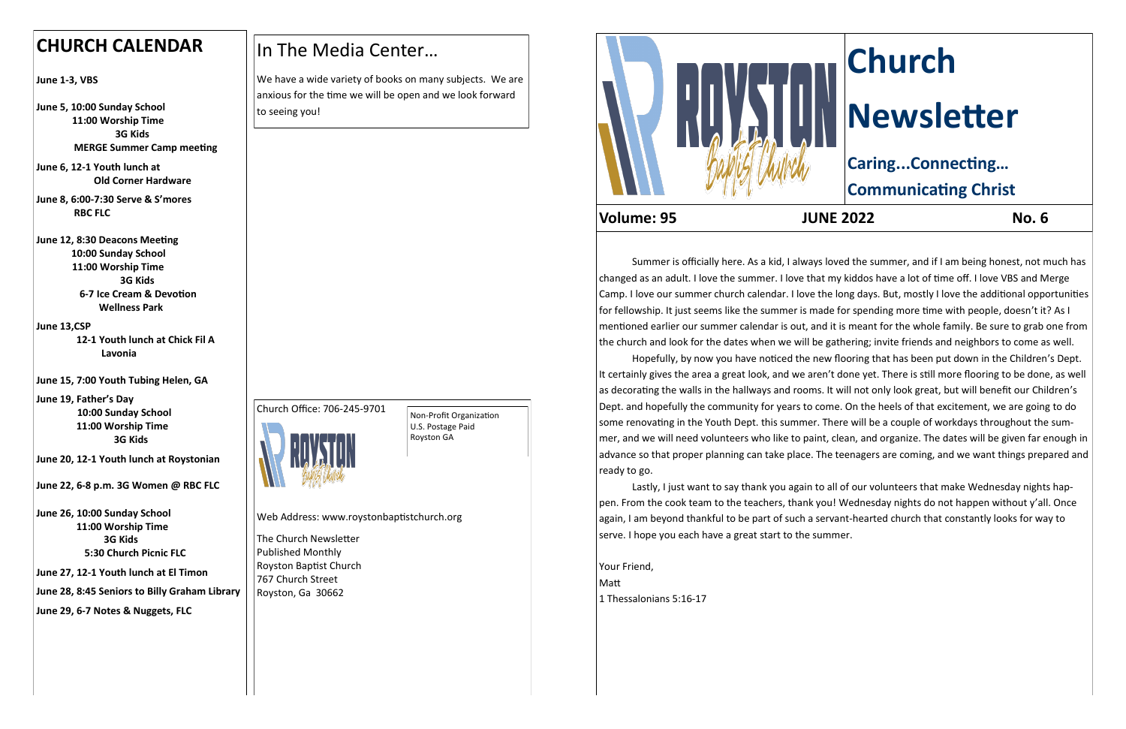Summer is officially here. As a kid, I always loved the summer, and if I am being honest, not much has Hopefully, by now you have noticed the new flooring that has been put down in the Children's Dept.

changed as an adult. I love the summer. I love that my kiddos have a lot of time off. I love VBS and Merge Camp. I love our summer church calendar. I love the long days. But, mostly I love the additional opportunities for fellowship. It just seems like the summer is made for spending more time with people, doesn't it? As I mentioned earlier our summer calendar is out, and it is meant for the whole family. Be sure to grab one from the church and look for the dates when we will be gathering; invite friends and neighbors to come as well. It certainly gives the area a great look, and we aren't done yet. There is still more flooring to be done, as well as decorating the walls in the hallways and rooms. It will not only look great, but will benefit our Children's Dept. and hopefully the community for years to come. On the heels of that excitement, we are going to do some renovating in the Youth Dept. this summer. There will be a couple of workdays throughout the summer, and we will need volunteers who like to paint, clean, and organize. The dates will be given far enough in advance so that proper planning can take place. The teenagers are coming, and we want things prepared and ready to go.

We have a wide variety of books on many subjects. We are anxious for the time we will be open and we look forward to seeing you!

> Lastly, I just want to say thank you again to all of our volunteers that make Wednesday nights happen. From the cook team to the teachers, thank you! Wednesday nights do not happen without y'all. Once again, I am beyond thankful to be part of such a servant-hearted church that constantly looks for way to serve. I hope you each have a great start to the summer.

Your Friend, Matt 1 Thessalonians 5:16-17

# **Church Newsletter Caring...Connecting…**

**Communicating Christ**

**Volume: 95 JUNE 2022 No. 6**

## **CHURCH CALENDAR**

**June 1-3, VBS**

**June 5, 10:00 Sunday School 11:00 Worship Time 3G Kids MERGE Summer Camp meeting**

**June 6, 12-1 Youth lunch at Old Corner Hardware**

**June 8, 6:00-7:30 Serve & S'mores RBC FLC**

**June 12, 8:30 Deacons Meeting 10:00 Sunday School 11:00 Worship Time 3G Kids 6-7 Ice Cream & Devotion Wellness Park**

**June 13,CSP**

 **12-1 Youth lunch at Chick Fil A Lavonia**

**June 15, 7:00 Youth Tubing Helen, GA**

**June 19, Father's Day 10:00 Sunday School 11:00 Worship Time 3G Kids**

**June 20, 12-1 Youth lunch at Roystonian**

**June 22, 6-8 p.m. 3G Women @ RBC FLC**

**June 26, 10:00 Sunday School 11:00 Worship Time 3G Kids 5:30 Church Picnic FLC**

**June 27, 12-1 Youth lunch at El Timon**

**June 28, 8:45 Seniors to Billy Graham Library** 

**June 29, 6-7 Notes & Nuggets, FLC**

## In The Media Center…





Web Address: www.roystonbaptistchurch.org

The Church Newsletter Published Monthly Royston Baptist Church 767 Church Street Royston, Ga 30662



Non-Profit Organization U.S. Postage Paid Royston GA